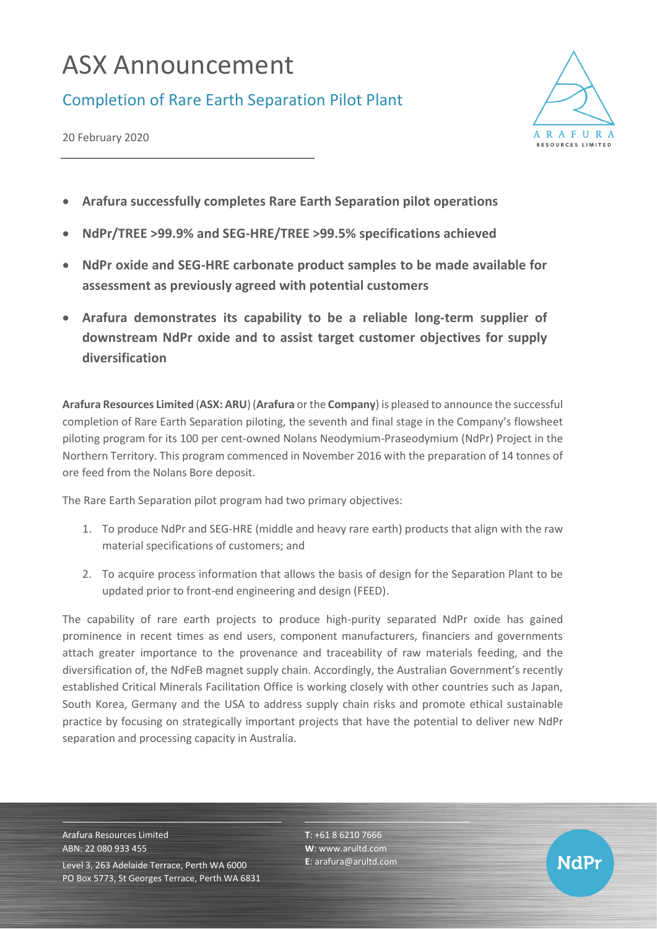## ASX Announcement

## Completion of Rare Earth Separation Pilot Plant

20 February 2020



- **Arafura successfully completes Rare Earth Separation pilot operations**
- **NdPr/TREE >99.9% and SEG-HRE/TREE >99.5% specifications achieved**
- **NdPr oxide and SEG-HRE carbonate product samples to be made available for assessment as previously agreed with potential customers**
- **Arafura demonstrates its capability to be a reliable long-term supplier of downstream NdPr oxide and to assist target customer objectives for supply diversification**

**Arafura Resources Limited** (**ASX: ARU**) (**Arafura** or the **Company**) is pleased to announce the successful completion of Rare Earth Separation piloting, the seventh and final stage in the Company's flowsheet piloting program for its 100 per cent-owned Nolans Neodymium-Praseodymium (NdPr) Project in the Northern Territory. This program commenced in November 2016 with the preparation of 14 tonnes of ore feed from the Nolans Bore deposit.

The Rare Earth Separation pilot program had two primary objectives:

- 1. To produce NdPr and SEG-HRE (middle and heavy rare earth) products that align with the raw material specifications of customers; and
- 2. To acquire process information that allows the basis of design for the Separation Plant to be updated prior to front-end engineering and design (FEED).

The capability of rare earth projects to produce high-purity separated NdPr oxide has gained prominence in recent times as end users, component manufacturers, financiers and governments attach greater importance to the provenance and traceability of raw materials feeding, and the diversification of, the NdFeB magnet supply chain. Accordingly, the Australian Government's recently established Critical Minerals Facilitation Office is working closely with other countries such as Japan, South Korea, Germany and the USA to address supply chain risks and promote ethical sustainable practice by focusing on strategically important projects that have the potential to deliver new NdPr separation and processing capacity in Australia.

Arafura Resources Limited ABN: 22 080 933 455 Level 3, 263 Adelaide Terrace, Perth WA 6000 PO Box 5773, St Georges Terrace, Perth WA 6831 **T**: +61 8 6210 7666 **W**: [www.arultd.com](http://www.arultd.com/) **E**[: arafura@arultd.com](about:blank)

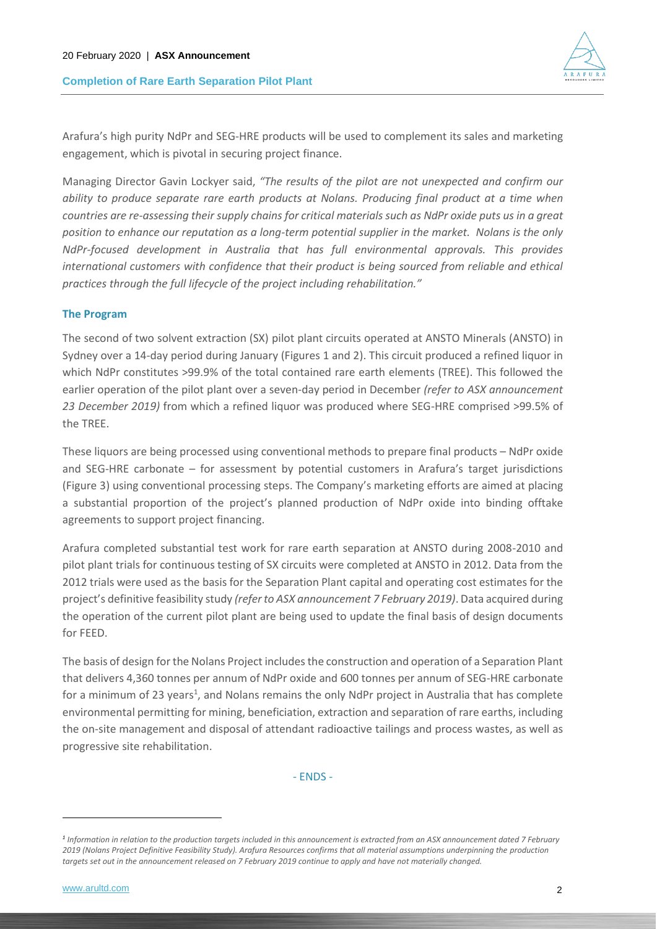## **Completion of Rare Earth Separation Pilot Plant**



Arafura's high purity NdPr and SEG-HRE products will be used to complement its sales and marketing engagement, which is pivotal in securing project finance.

Managing Director Gavin Lockyer said, *"The results of the pilot are not unexpected and confirm our ability to produce separate rare earth products at Nolans. Producing final product at a time when countries are re-assessing their supply chains for critical materials such as NdPr oxide puts us in a great position to enhance our reputation as a long-term potential supplier in the market. Nolans is the only NdPr-focused development in Australia that has full environmental approvals. This provides international customers with confidence that their product is being sourced from reliable and ethical practices through the full lifecycle of the project including rehabilitation."* 

## **The Program**

The second of two solvent extraction (SX) pilot plant circuits operated at ANSTO Minerals (ANSTO) in Sydney over a 14-day period during January (Figures 1 and 2). This circuit produced a refined liquor in which NdPr constitutes >99.9% of the total contained rare earth elements (TREE). This followed the earlier operation of the pilot plant over a seven-day period in December *(refer to ASX announcement 23 December 2019)* from which a refined liquor was produced where SEG-HRE comprised >99.5% of the TREE.

These liquors are being processed using conventional methods to prepare final products – NdPr oxide and SEG-HRE carbonate – for assessment by potential customers in Arafura's target jurisdictions (Figure 3) using conventional processing steps. The Company's marketing efforts are aimed at placing a substantial proportion of the project's planned production of NdPr oxide into binding offtake agreements to support project financing.

Arafura completed substantial test work for rare earth separation at ANSTO during 2008-2010 and pilot plant trials for continuous testing of SX circuits were completed at ANSTO in 2012. Data from the 2012 trials were used as the basis for the Separation Plant capital and operating cost estimates for the project's definitive feasibility study *(refer to ASX announcement 7 February 2019)*. Data acquired during the operation of the current pilot plant are being used to update the final basis of design documents for FEED.

The basis of design for the Nolans Project includes the construction and operation of a Separation Plant that delivers 4,360 tonnes per annum of NdPr oxide and 600 tonnes per annum of SEG-HRE carbonate for a minimum of 23 years<sup>1</sup>, and Nolans remains the only NdPr project in Australia that has complete environmental permitting for mining, beneficiation, extraction and separation of rare earths, including the on-site management and disposal of attendant radioactive tailings and process wastes, as well as progressive site rehabilitation.

- ENDS -

*<sup>1</sup> Information in relation to the production targets included in this announcement is extracted from an ASX announcement dated 7 February 2019 (Nolans Project Definitive Feasibility Study). Arafura Resources confirms that all material assumptions underpinning the production targets set out in the announcement released on 7 February 2019 continue to apply and have not materially changed.*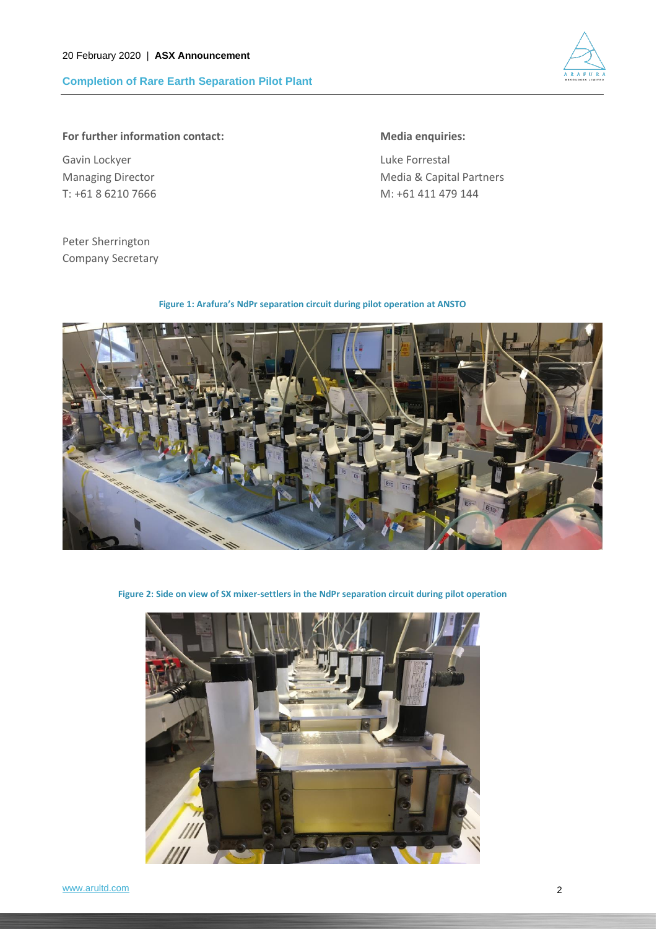**Completion of Rare Earth Separation Pilot Plant**



**For further information contact: Media enquiries:**

Gavin Lockyer **Luke Forrestal** 

Managing Director **Media & Capital Partners** Media & Capital Partners T: +61 8 6210 7666 M: +61 411 479 144

Peter Sherrington Company Secretary

**Figure 1: Arafura's NdPr separation circuit during pilot operation at ANSTO**



**Figure 2: Side on view of SX mixer-settlers in the NdPr separation circuit during pilot operation**